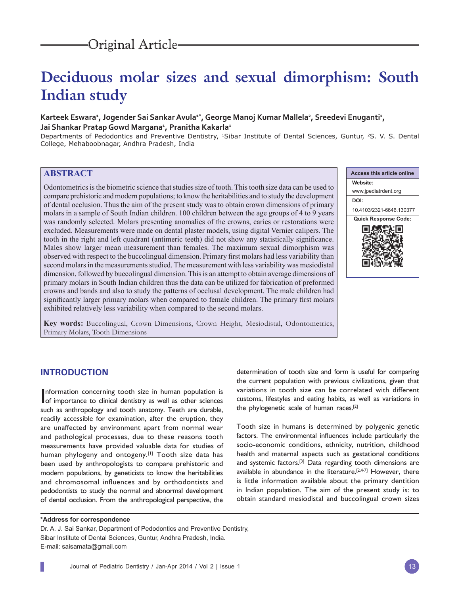# **Deciduous molar sizes and sexual dimorphism: South Indian study**

# Karteek Eswara<del>'</del>, Jogender Sai Sankar Avula<sup>1\*</sup>, George Manoj Kumar Mallela<sup>2</sup>, Sreedevi Enuganti<del>'</del>, **Jai Shankar Pratap Gowd Margana1 , Pranitha Kakarla1**

Departments of Pedodontics and Preventive Dentistry, <sup>1</sup>Sibar Institute of Dental Sciences, Guntur, <sup>2</sup>S. V. S. Dental College, Mehaboobnagar, Andhra Pradesh, India

# **ABSTRACT**

Odontometrics is the biometric science that studies size of tooth. This tooth size data can be used to compare prehistoric and modern populations; to know the heritabilities and to study the development of dental occlusion. Thus the aim of the present study was to obtain crown dimensions of primary molars in a sample of South Indian children. 100 children between the age groups of 4 to 9 years was randomly selected. Molars presenting anomalies of the crowns, caries or restorations were excluded. Measurements were made on dental plaster models, using digital Vernier calipers. The tooth in the right and left quadrant (antimeric teeth) did not show any statistically significance. Males show larger mean measurement than females. The maximum sexual dimorphism was observed with respect to the buccolingual dimension. Primary first molars had less variability than second molars in the measurements studied. The measurement with less variability was mesiodistal dimension, followed by buccolingual dimension. This is an attempt to obtain average dimensions of primary molars in South Indian children thus the data can be utilized for fabrication of preformed crowns and bands and also to study the patterns of occlusal development. The male children had significantly larger primary molars when compared to female children. The primary first molars exhibited relatively less variability when compared to the second molars.

**Access this article online Website:** www.jpediatrdent.org **DOI:** 10.4103/2321-6646.130377 **Quick Response Code:** п

**Key words:** Buccolingual, Crown Dimensions, Crown Height, Mesiodistal, Odontometrics, Primary Molars, Tooth Dimensions

# **INTRODUCTION**

Information concerning tooth size in human population is<br>of importance to clinical dentistry as well as other sciences nformation concerning tooth size in human population is such as anthropology and tooth anatomy. Teeth are durable, readily accessible for examination, after the eruption, they are unaffected by environment apart from normal wear and pathological processes, due to these reasons tooth measurements have provided valuable data for studies of human phylogeny and ontogeny.<sup>[1]</sup> Tooth size data has been used by anthropologists to compare prehistoric and modern populations, by geneticists to know the heritabilities and chromosomal influences and by orthodontists and pedodontists to study the normal and abnormal development of dental occlusion. From the anthropological perspective, the

determination of tooth size and form is useful for comparing the current population with previous civilizations, given that variations in tooth size can be correlated with different customs, lifestyles and eating habits, as well as variations in the phylogenetic scale of human races.[2]

Tooth size in humans is determined by polygenic genetic factors. The environmental influences include particularly the socio-economic conditions, ethnicity, nutrition, childhood health and maternal aspects such as gestational conditions and systemic factors.[3] Data regarding tooth dimensions are available in abundance in the literature.[2,4-7] However, there is little information available about the primary dentition in Indian population. The aim of the present study is: to obtain standard mesiodistal and buccolingual crown sizes

**\*Address for correspondence**

Dr. A. J. Sai Sankar, Department of Pedodontics and Preventive Dentistry, Sibar Institute of Dental Sciences, Guntur, Andhra Pradesh, India. E-mail: saisamata@gmail.com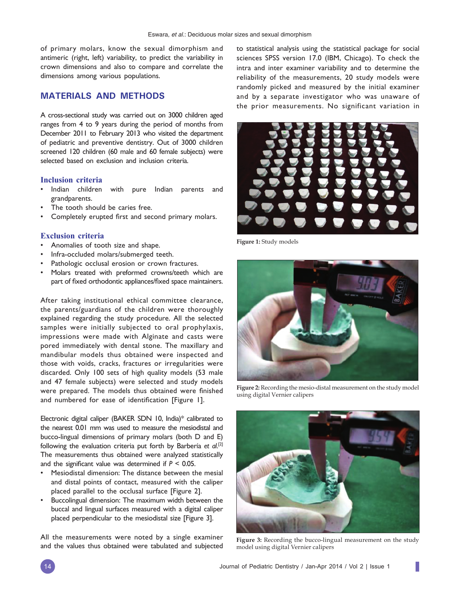of primary molars, know the sexual dimorphism and antimeric (right, left) variability, to predict the variability in crown dimensions and also to compare and correlate the dimensions among various populations.

# **MATERIALS AND METHODS**

A cross-sectional study was carried out on 3000 children aged ranges from 4 to 9 years during the period of months from December 2011 to February 2013 who visited the department of pediatric and preventive dentistry. Out of 3000 children screened 120 children (60 male and 60 female subjects) were selected based on exclusion and inclusion criteria.

#### **Inclusion criteria**

- Indian children with pure Indian parents and grandparents.
- The tooth should be caries free.
- Completely erupted first and second primary molars.

#### **Exclusion criteria**

- Anomalies of tooth size and shape.
- Infra-occluded molars/submerged teeth.
- Pathologic occlusal erosion or crown fractures.
- Molars treated with preformed crowns/teeth which are part of fixed orthodontic appliances/fixed space maintainers.

After taking institutional ethical committee clearance, the parents/guardians of the children were thoroughly explained regarding the study procedure. All the selected samples were initially subjected to oral prophylaxis, impressions were made with Alginate and casts were pored immediately with dental stone. The maxillary and mandibular models thus obtained were inspected and those with voids, cracks, fractures or irregularities were discarded. Only 100 sets of high quality models (53 male and 47 female subjects) were selected and study models were prepared. The models thus obtained were finished and numbered for ease of identification [Figure 1].

Electronic digital caliper (BAKER SDN 10, India)\* calibrated to the nearest 0.01 mm was used to measure the mesiodistal and bucco-lingual dimensions of primary molars (both D and E) following the evaluation criteria put forth by Barbería *et al*. [2] The measurements thus obtained were analyzed statistically and the significant value was determined if  $P < 0.05$ .

- Mesiodistal dimension: The distance between the mesial and distal points of contact, measured with the caliper placed parallel to the occlusal surface [Figure 2].
- Buccolingual dimension: The maximum width between the buccal and lingual surfaces measured with a digital caliper placed perpendicular to the mesiodistal size [Figure 3].

All the measurements were noted by a single examiner and the values thus obtained were tabulated and subjected to statistical analysis using the statistical package for social sciences SPSS version 17.0 (IBM, Chicago). To check the intra and inter examiner variability and to determine the reliability of the measurements, 20 study models were randomly picked and measured by the initial examiner and by a separate investigator who was unaware of the prior measurements. No significant variation in



**Figure 1:** Study models



**Figure 2:** Recording the mesio-distal measurement on the study model using digital Vernier calipers



**Figure 3:** Recording the bucco-lingual measurement on the study model using digital Vernier calipers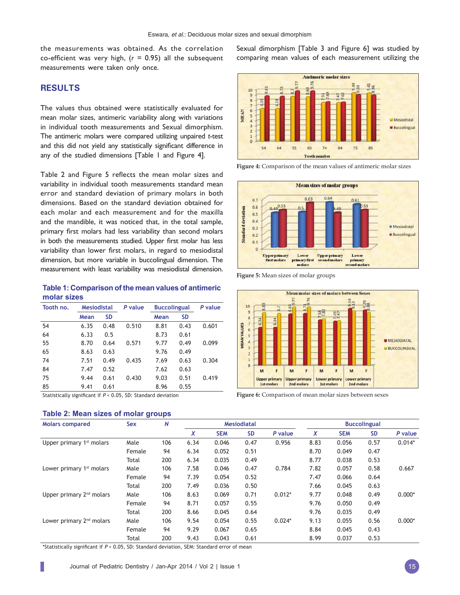the measurements was obtained. As the correlation co-efficient was very high,  $(r = 0.95)$  all the subsequent measurements were taken only once.

# **RESULTS**

The values thus obtained were statistically evaluated for mean molar sizes, antimeric variability along with variations in individual tooth measurements and Sexual dimorphism. The antimeric molars were compared utilizing unpaired *t*-test and this did not yield any statistically significant difference in any of the studied dimensions [Table 1 and Figure 4].

Table 2 and Figure 5 reflects the mean molar sizes and variability in individual tooth measurements standard mean error and standard deviation of primary molars in both dimensions. Based on the standard deviation obtained for each molar and each measurement and for the maxilla and the mandible, it was noticed that, in the total sample, primary first molars had less variability than second molars in both the measurements studied. Upper first molar has less variability than lower first molars, in regard to mesiodistal dimension, but more variable in buccolingual dimension. The measurement with least variability was mesiodistal dimension.

**Table 1: Comparison of the mean values of antimeric molar sizes**

| Tooth no. | Mesiodistal |           | P value | <b>Buccolingual</b> | P value   |       |  |
|-----------|-------------|-----------|---------|---------------------|-----------|-------|--|
|           | Mean        | <b>SD</b> |         | Mean                | <b>SD</b> |       |  |
| 54        | 6.35        | 0.48      | 0.510   | 8.81                | 0.43      | 0.601 |  |
| 64        | 6.33        | 0.5       |         | 8.73                | 0.61      |       |  |
| 55        | 8.70        | 0.64      | 0.571   | 9.77                | 0.49      | 0.099 |  |
| 65        | 8.63        | 0.63      |         | 9.76                | 0.49      |       |  |
| 74        | 7.51        | 0.49      | 0.435   | 7.69                | 0.63      | 0.304 |  |
| 84        | 7.47        | 0.52      |         | 7.62                | 0.63      |       |  |
| 75        | 9.44        | 0.61      | 0.430   | 9.03                | 0.51      | 0.419 |  |
| 85        | 9.41        | 0.61      |         | 8.96                | 0.55      |       |  |

Statistically significant if  $P < 0.05$ , SD: Standard deviation

### **Table 2: Mean sizes of molar groups**

Sexual dimorphism [Table 3 and Figure 6] was studied by comparing mean values of each measurement utilizing the



**Figure 4:** Comparison of the mean values of antimeric molar sizes



**Figure 5:** Mean sizes of molar groups



**Figure 6:** Comparison of mean molar sizes between sexes

| <b>Molars compared</b>               | <b>Sex</b> | N   | <b>Mesiodiatal</b> |            |           |          | <b>Buccolingual</b> |            |           |          |
|--------------------------------------|------------|-----|--------------------|------------|-----------|----------|---------------------|------------|-----------|----------|
|                                      |            |     | X                  | <b>SEM</b> | <b>SD</b> | P value  | X                   | <b>SEM</b> | <b>SD</b> | P value  |
| Upper primary 1 <sup>st</sup> molars | Male       | 106 | 6.34               | 0.046      | 0.47      | 0.956    | 8.83                | 0.056      | 0.57      | $0.014*$ |
|                                      | Female     | 94  | 6.34               | 0.052      | 0.51      |          | 8.70                | 0.049      | 0.47      |          |
|                                      | Total      | 200 | 6.34               | 0.035      | 0.49      |          | 8.77                | 0.038      | 0.53      |          |
| Lower primary 1 <sup>st</sup> molars | Male       | 106 | 7.58               | 0.046      | 0.47      | 0.784    | 7.82                | 0.057      | 0.58      | 0.667    |
|                                      | Female     | 94  | 7.39               | 0.054      | 0.52      |          | 7.47                | 0.066      | 0.64      |          |
|                                      | Total      | 200 | 7.49               | 0.036      | 0.50      |          | 7.66                | 0.045      | 0.63      |          |
| Upper primary 2 <sup>nd</sup> molars | Male       | 106 | 8.63               | 0.069      | 0.71      | $0.012*$ | 9.77                | 0.048      | 0.49      | $0.000*$ |
|                                      | Female     | 94  | 8.71               | 0.057      | 0.55      |          | 9.76                | 0.050      | 0.49      |          |
|                                      | Total      | 200 | 8.66               | 0.045      | 0.64      |          | 9.76                | 0.035      | 0.49      |          |
| Lower primary 2 <sup>nd</sup> molars | Male       | 106 | 9.54               | 0.054      | 0.55      | $0.024*$ | 9.13                | 0.055      | 0.56      | $0.000*$ |
|                                      | Female     | 94  | 9.29               | 0.067      | 0.65      |          | 8.84                | 0.045      | 0.43      |          |
|                                      | Total      | 200 | 9.43               | 0.043      | 0.61      |          | 8.99                | 0.037      | 0.53      |          |

\*Statistically significant if  $P < 0.05$ , SD: Standard deviation, SEM: Standard error of mean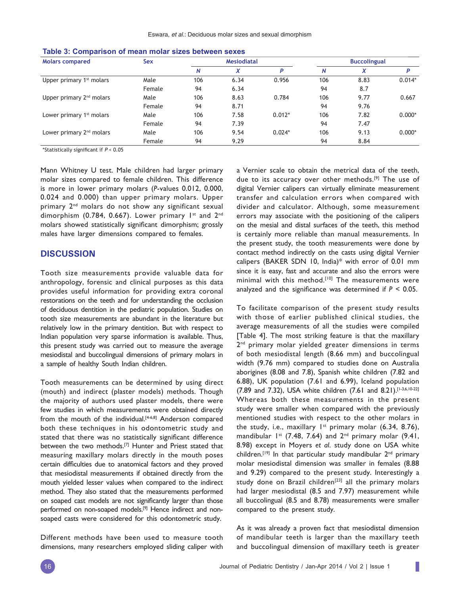| <b>Molars compared</b>               | <b>Sex</b> |     | <b>Mesiodiatal</b> |          | <b>Buccolingual</b> |      |          |  |
|--------------------------------------|------------|-----|--------------------|----------|---------------------|------|----------|--|
|                                      |            | N   | X                  | p        | N                   | X    | P        |  |
| Upper primary 1 <sup>st</sup> molars | Male       | 106 | 6.34               | 0.956    | 106                 | 8.83 | $0.014*$ |  |
|                                      | Female     | 94  | 6.34               |          | 94                  | 8.7  |          |  |
| Upper primary 2 <sup>nd</sup> molars | Male       | 106 | 8.63               | 0.784    | 106                 | 9.77 | 0.667    |  |
|                                      | Female     | 94  | 8.71               |          | 94                  | 9.76 |          |  |
| Lower primary 1 <sup>st</sup> molars | Male       | 106 | 7.58               | $0.012*$ | 106                 | 7.82 | $0.000*$ |  |
|                                      | Female     | 94  | 7.39               |          | 94                  | 7.47 |          |  |
| Lower primary 2 <sup>nd</sup> molars | Male       | 106 | 9.54               | $0.024*$ | 106                 | 9.13 | $0.000*$ |  |
|                                      | Female     | 94  | 9.29               |          | 94                  | 8.84 |          |  |

| Table 3: Comparison of mean molar sizes between sexes |
|-------------------------------------------------------|
|-------------------------------------------------------|

\*Statistically significant if  $P < 0.05$ 

Mann Whitney U test. Male children had larger primary molar sizes compared to female children. This difference is more in lower primary molars (*P*-values 0.012, 0.000, 0.024 and 0.000) than upper primary molars. Upper primary 2<sup>nd</sup> molars do not show any significant sexual dimorphism (0.784, 0.667). Lower primary  $1^{st}$  and  $2^{nd}$ molars showed statistically significant dimorphism; grossly males have larger dimensions compared to females.

#### **DISCUSSION**

Tooth size measurements provide valuable data for anthropology, forensic and clinical purposes as this data provides useful information for providing extra coronal restorations on the teeth and for understanding the occlusion of deciduous dentition in the pediatric population. Studies on tooth size measurements are abundant in the literature but relatively low in the primary dentition. But with respect to Indian population very sparse information is available. Thus, this present study was carried out to measure the average mesiodistal and buccolingual dimensions of primary molars in a sample of healthy South Indian children.

Tooth measurements can be determined by using direct (mouth) and indirect (plaster models) methods. Though the majority of authors used plaster models, there were few studies in which measurements were obtained directly from the mouth of the individual.<sup>[4-6,8]</sup> Anderson compared both these techniques in his odontometric study and stated that there was no statistically significant difference between the two methods.<sup>[7]</sup> Hunter and Priest stated that measuring maxillary molars directly in the mouth poses certain difficulties due to anatomical factors and they proved that mesiodistal measurements if obtained directly from the mouth yielded lesser values when compared to the indirect method. They also stated that the measurements performed on soaped cast models are not significantly larger than those performed on non-soaped models.<sup>[9]</sup> Hence indirect and nonsoaped casts were considered for this odontometric study.

Different methods have been used to measure tooth dimensions, many researchers employed sliding caliper with a Vernier scale to obtain the metrical data of the teeth, due to its accuracy over other methods.<sup>[9]</sup> The use of digital Vernier calipers can virtually eliminate measurement transfer and calculation errors when compared with divider and calculator. Although, some measurement errors may associate with the positioning of the calipers on the mesial and distal surfaces of the teeth, this method is certainly more reliable than manual measurements. In the present study, the tooth measurements were done by contact method indirectly on the casts using digital Vernier calipers (BAKER SDN 10, India)\* with error of 0.01 mm since it is easy, fast and accurate and also the errors were minimal with this method.<sup>[10]</sup> The measurements were analyzed and the significance was determined if  $P < 0.05$ .

To facilitate comparison of the present study results with those of earlier published clinical studies, the average measurements of all the studies were compiled [Table 4]. The most striking feature is that the maxillary 2<sup>nd</sup> primary molar yielded greater dimensions in terms of both mesiodistal length (8.66 mm) and buccolingual width (9.76 mm) compared to studies done on Australia aborigines (8.08 and 7.8), Spanish white children (7.82 and 6.88), UK population (7.61 and 6.99), Iceland population (7.89 and 7.32), USA white children (7.61 and 8.21).[1-3,6,10-22] Whereas both these measurements in the present study were smaller when compared with the previously mentioned studies with respect to the other molars in the study, i.e., maxillary  $1^{st}$  primary molar (6.34, 8.76), mandibular  $1^{st}$  (7.48, 7.64) and  $2^{nd}$  primary molar (9.41, 8.98) except in Moyers *et al*. study done on USA white children.<sup>[19]</sup> In that particular study mandibular 2<sup>nd</sup> primary molar mesiodistal dimension was smaller in females (8.88 and 9.29) compared to the present study. Interestingly a study done on Brazil children<sup>[23]</sup> all the primary molars had larger mesiodistal (8.5 and 7.97) measurement while all buccolingual (8.5 and 8.78) measurements were smaller compared to the present study.

As it was already a proven fact that mesiodistal dimension of mandibular teeth is larger than the maxillary teeth and buccolingual dimension of maxillary teeth is greater

I.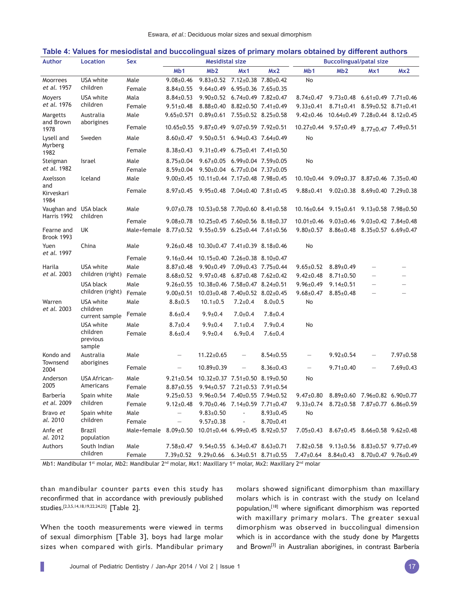#### **Table 4: Values for mesiodistal and buccolingual sizes of primary molars obtained by different authors**

| <b>Author</b>                        | <b>Location</b>                | Sex                                                 | <b>Mesidistal size</b>                                           |                                                                  |                                 | <b>Buccolingual/patal size</b>     |                                                 |                                                                 |                                 |                 |
|--------------------------------------|--------------------------------|-----------------------------------------------------|------------------------------------------------------------------|------------------------------------------------------------------|---------------------------------|------------------------------------|-------------------------------------------------|-----------------------------------------------------------------|---------------------------------|-----------------|
|                                      |                                |                                                     | Mb <sub>1</sub>                                                  | Mb2                                                              | Mx1                             | Mx2                                | M <sub>b</sub> 1                                | Mb2                                                             | Mx1                             | Mx2             |
| Moorrees                             | USA white                      | Male                                                | $9.08 \pm 0.46$                                                  | $9.83 \pm 0.52$ 7.12 $\pm$ 0.38 7.80 $\pm$ 0.42                  |                                 |                                    | No                                              |                                                                 |                                 |                 |
| et al. 1957                          | children                       | Female                                              | $8.84 \pm 0.55$                                                  | $9.64\pm0.49$ 6.95 $\pm$ 0.36 7.65 $\pm$ 0.35                    |                                 |                                    |                                                 |                                                                 |                                 |                 |
| USA white<br>Moyers                  | Mala                           | $8.84 \pm 0.53$                                     | $9.90\pm0.52$ 6.74 $\pm$ 0.49 7.82 $\pm$ 0.47                    |                                                                  |                                 | $8.74{\scriptstyle \pm0.47}$       | $9.73 \pm 0.48$ 6.61 $\pm$ 0.49 7.71 $\pm$ 0.46 |                                                                 |                                 |                 |
| et al. 1976                          | children                       | Female                                              | $9.51 \pm 0.48$                                                  | $8.88 {\pm} 0.40$                                                | $8.82 \pm 0.50$ 7.41 $\pm 0.49$ |                                    | $9.33 \pm 0.41$                                 | $8.71\pm0.41$ $8.59\pm0.52$ $8.71\pm0.41$                       |                                 |                 |
| Australia<br>Margetts                | Male                           |                                                     | $9.65 \pm 0.571$ $0.89 \pm 0.61$ $7.55 \pm 0.52$ $8.25 \pm 0.58$ |                                                                  |                                 | $9.42 \pm 0.46$                    | $10.64\pm0.49$ 7.28 $\pm$ 0.44 8.12 $\pm$ 0.45  |                                                                 |                                 |                 |
| and Brown<br>1978                    | aborigines                     | Female                                              |                                                                  | $10.65 \pm 0.55$ $9.87 \pm 0.49$ $9.07 \pm 0.59$ $7.92 \pm 0.51$ |                                 |                                    | $10.27 \pm 0.44$ 9.57 $\pm$ 0.49                |                                                                 | $8.77 \pm 0.47$ 7.49 $\pm$ 0.51 |                 |
| Lysell and<br>Myrberg                | Sweden                         | Male                                                | $8.60 \pm 0.47$                                                  | $9.50\pm0.51$ 6.94 $\pm$ 0.43 7.64 $\pm$ 0.49                    |                                 |                                    | No                                              |                                                                 |                                 |                 |
| 1982                                 |                                | Female                                              | $8.38{\pm}0.43$                                                  | $9.31\pm0.49$ 6.75 $\pm0.41$ 7.41 $\pm0.50$                      |                                 |                                    |                                                 |                                                                 |                                 |                 |
| Steigman                             | Israel                         | Male                                                | $8.75 \pm 0.04$                                                  | $9.67\pm0.05$ 6.99 $\pm0.04$ 7.59 $\pm0.05$                      |                                 |                                    | No                                              |                                                                 |                                 |                 |
| et al. 1982                          |                                | Female                                              | $8.59 \pm 0.04$                                                  | $9.50\pm0.04$ 6.77 $\pm0.04$ 7.37 $\pm0.05$                      |                                 |                                    |                                                 |                                                                 |                                 |                 |
| Axelsson<br>and                      | Iceland                        | Male                                                | $9.00 \pm 0.45$                                                  | $10.11\pm0.44$ $7.17\pm0.48$ $7.98\pm0.45$                       |                                 |                                    |                                                 | $10.10\pm0.44$ $9.09\pm0.37$ $8.87\pm0.46$ $7.35\pm0.40$        |                                 |                 |
| Kirveskari<br>1984                   |                                | Female                                              |                                                                  | $8.97\pm0.45$ 9.95 $\pm$ 0.48 7.04 $\pm$ 0.40 7.81 $\pm$ 0.45    |                                 |                                    | $9.88 \pm 0.41$                                 | $9.02 \pm 0.38$ $8.69 \pm 0.40$ $7.29 \pm 0.38$                 |                                 |                 |
| Vaughan and USA black<br>Harris 1992 |                                | Male                                                | $9.07 \pm 0.78$                                                  | $10.53 \pm 0.58$ 7.70 $\pm$ 0.60 8.41 $\pm$ 0.58                 |                                 |                                    |                                                 | $10.16\pm0.64$ 9.15 $\pm$ 0.61 9.13 $\pm$ 0.58 7.98 $\pm$ 0.50  |                                 |                 |
|                                      | children                       | Female                                              | $9.08 \pm 0.78$                                                  | $10.25 \pm 0.45$ 7.60 $\pm$ 0.56 8.18 $\pm$ 0.37                 |                                 |                                    |                                                 | $10.01\pm0.46$ 9.03 $\pm0.46$ 9.03 $\pm0.42$ 7.84 $\pm0.48$     |                                 |                 |
| Fearne and<br>Brook 1993             | UK                             | Male+female 8.77±0.52 9.55±0.59 6.25±0.44 7.61±0.56 |                                                                  |                                                                  |                                 |                                    |                                                 | $9.80 \pm 0.57$ $8.86 \pm 0.48$ $8.35 \pm 0.57$ $6.69 \pm 0.47$ |                                 |                 |
| Yuen<br>et al. 1997                  | China                          | Male                                                | $9.26 \pm 0.48$                                                  | $10.30\pm0.47$ 7.41 $\pm$ 0.39 8.18 $\pm$ 0.46                   |                                 |                                    | No                                              |                                                                 |                                 |                 |
|                                      |                                | Female                                              |                                                                  | $9.16\pm0.44$ 10.15 $\pm$ 0.40 7.26 $\pm$ 0.38 8.10 $\pm$ 0.47   |                                 |                                    |                                                 |                                                                 |                                 |                 |
| Harila                               | USA white                      | Male                                                | $8.87 \pm 0.48$                                                  | 9.90±0.49 7.09±0.43 7.75±0.44                                    |                                 |                                    | $9.65 \pm 0.52$                                 | $8.89{\pm}0.49$                                                 |                                 |                 |
| et al. 2003                          | children (right)               | Female                                              |                                                                  | 8.68±0.52 9.97±0.48 6.87±0.48 7.62±0.42                          |                                 |                                    | $9.42 \pm 0.48$                                 | $8.71 \pm 0.50$                                                 |                                 |                 |
|                                      | USA black                      | Male                                                | $9.26 \pm 0.55$                                                  | 10.38±0.46 7.58±0.47 8.24±0.51                                   |                                 |                                    | $9.96 \pm 0.49$                                 | $9.14 \pm 0.51$                                                 |                                 | $\equiv$        |
|                                      | children (right)               | Female                                              | $9.00 \pm 0.51$                                                  | 10.03±0.48 7.40±0.52 8.02±0.45                                   |                                 |                                    | $9.68 \pm 0.47$                                 | $8.85 \pm 0.48$                                                 |                                 |                 |
| Warren<br>et al. 2003                | <b>USA</b> white<br>children   | Male                                                | $8.8 \pm 0.5$                                                    | $10.1 \pm 0.5$                                                   | $7.2 \pm 0.4$                   | $8.0 \pm 0.5$                      | No                                              |                                                                 |                                 |                 |
|                                      | current sample                 | Female                                              | $8.6 \pm 0.4$                                                    | $9.9 \pm 0.4$                                                    | $7.0 \pm 0.4$                   | $7.8 \pm 0.4$                      |                                                 |                                                                 |                                 |                 |
|                                      | USA white                      | Male                                                | $8.7 \pm 0.4$                                                    | $9.9 \pm 0.4$                                                    | $7.1 \pm 0.4$                   | $7.9 \pm 0.4$                      | No                                              |                                                                 |                                 |                 |
|                                      | children<br>previous<br>sample | Female                                              | $8.6 \pm 0.4$                                                    | $9.9 \pm 0.4$                                                    | $6.9 \pm 0.4$                   | $7.6 \pm 0.4$                      |                                                 |                                                                 |                                 |                 |
| Kondo and                            | Australia                      | Male                                                | $\qquad \qquad -$                                                | $11.22 \pm 0.65$                                                 | $\overline{\phantom{m}}$        | $8.54 \pm 0.55$                    | $\overline{\phantom{m}}$                        | $9.92 \pm 0.54$                                                 |                                 | $7.97 \pm 0.58$ |
| Townsend<br>2004                     | aborigines                     | Female                                              | $\overline{\phantom{0}}$                                         | $10.89 \pm 0.39$                                                 | $\qquad \qquad -$               | $8.36 \pm 0.43$                    | $\overline{\phantom{0}}$                        | $9.71 \pm 0.40$                                                 |                                 | $7.69 \pm 0.43$ |
| Anderson                             | USA African-                   | Male                                                | $9.21 \pm 0.54$                                                  | $10.32 \pm 0.37$ $7.51 \pm 0.50$ $8.19 \pm 0.50$                 |                                 |                                    | No                                              |                                                                 |                                 |                 |
| 2005                                 | Americans                      | Female                                              |                                                                  | $8.87\pm0.55$ 9.94 $\pm$ 0.57 7.21 $\pm$ 0.53 7.91 $\pm$ 0.54    |                                 |                                    |                                                 |                                                                 |                                 |                 |
| Barbería                             | Spain white<br>children        | Male                                                | $9.25 \pm 0.53$                                                  | 9.96±0.54 7.40±0.55 7.94±0.52                                    |                                 |                                    |                                                 | $9.47\pm0.80$ $8.89\pm0.60$ $7.96\pm0.82$ $6.90\pm0.77$         |                                 |                 |
| et al. 2009                          |                                | Female                                              | $9.12 \pm 0.48$                                                  | $9.70\pm0.46$ 7.14 $\pm$ 0.59 7.71 $\pm$ 0.47                    |                                 |                                    | $9.33 \pm 0.74$                                 | 8.72±0.58 7.87±0.77 6.86±0.59                                   |                                 |                 |
| Bravo et<br>al. 2010                 | Spain white<br>children        | Male<br>Female                                      | $\overline{\phantom{0}}$                                         | $9.83 \pm 0.50$<br>$9.57 \pm 0.38$                               |                                 | $8.93 \pm 0.45$<br>$8.70 \pm 0.41$ | No                                              |                                                                 |                                 |                 |
| Anfe et<br>al. 2012                  | <b>Brazil</b><br>population    | Male+female $8.09\pm0.50$                           |                                                                  | 10.01±0.44 6.99±0.45 8.92±0.57                                   |                                 |                                    | $7.05 \pm 0.43$                                 | $8.67 \pm 0.45$ $8.66 \pm 0.58$ $9.62 \pm 0.48$                 |                                 |                 |
| Authors                              | South Indian                   | Male                                                | 7.58±0.47                                                        | $9.54\pm0.55$ 6.34 $\pm$ 0.47 8.63 $\pm$ 0.71                    |                                 |                                    |                                                 | 7.82±0.58 9.13±0.56 8.83±0.57 9.77±0.49                         |                                 |                 |
|                                      | children                       | Female                                              |                                                                  | $7.39 \pm 0.52$ $9.29 \pm 0.66$                                  | $6.34\pm0.51$ $8.71\pm0.55$     |                                    | 7.47±0.64 8.84±0.43 8.70±0.47 9.76±0.49         |                                                                 |                                 |                 |
|                                      |                                |                                                     |                                                                  |                                                                  |                                 |                                    | 2nd                                             |                                                                 |                                 |                 |

Mb1: Mandibular 1<sup>st</sup> molar, Mb2: Mandibular 2<sup>nd</sup> molar, Mx1: Maxillary 1<sup>st</sup> molar, Mx2: Maxillary 2<sup>nd</sup> molar

than mandibular counter parts even this study has reconfirmed that in accordance with previously published studies.[2,3,5,14,18,19,22,24,25] [Table 2].

When the tooth measurements were viewed in terms of sexual dimorphism [Table 3], boys had large molar sizes when compared with girls. Mandibular primary molars showed significant dimorphism than maxillary molars which is in contrast with the study on Iceland population, [18] where significant dimorphism was reported with maxillary primary molars. The greater sexual dimorphism was observed in buccolingual dimension which is in accordance with the study done by Margetts and Brown<sup>[3]</sup> in Australian aborigines, in contrast Barbería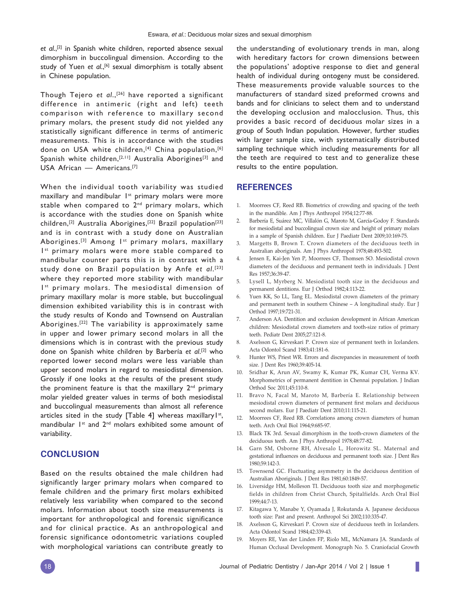*et al*.,[2] in Spanish white children, reported absence sexual dimorphism in buccolingual dimension. According to the study of Yuen et al.,<sup>[6]</sup> sexual dimorphism is totally absent in Chinese population.

Though Tejero *et al*.,[26] have reported a significant difference in antimeric (right and left) teeth comparison with reference to maxillary second primary molars, the present study did not yielded any statistically significant difference in terms of antimeric measurements. This is in accordance with the studies done on USA white children,<sup>[4]</sup> China population,<sup>[6]</sup> Spanish white children,<sup>[2,11]</sup> Australia Aborigines<sup>[3]</sup> and USA African — Americans.[7]

When the individual tooth variability was studied maxillary and mandibular 1<sup>st</sup> primary molars were more stable when compared to 2<sup>nd</sup> primary molars, which is accordance with the studies done on Spanish white children,<sup>[2]</sup> Australia Aborigines,<sup>[22]</sup> Brazil population<sup>[23]</sup> and is in contrast with a study done on Australian Aborigines.<sup>[3]</sup> Among I<sup>st</sup> primary molars, maxillary Ist primary molars were more stable compared to mandibular counter parts this is in contrast with a study done on Brazil population by Anfe *et al*. [23] where they reported more stability with mandibular Ist primary molars. The mesiodistal dimension of primary maxillary molar is more stable, but buccolingual dimension exhibited variability this is in contrast with the study results of Kondo and Townsend on Australian Aborigines.[22] The variability is approximately same in upper and lower primary second molars in all the dimensions which is in contrast with the previous study done on Spanish white children by Barbería *et al*. [2] who reported lower second molars were less variable than upper second molars in regard to mesiodistal dimension. Grossly if one looks at the results of the present study the prominent feature is that the maxillary  $2^{nd}$  primary molar yielded greater values in terms of both mesiodistal and buccolingual measurements than almost all reference articles sited in the study [Table 4] whereas maxillary  $I^{st}$ , mandibular 1<sup>st</sup> and 2<sup>nd</sup> molars exhibited some amount of variability.

#### **CONCLUSION**

Based on the results obtained the male children had significantly larger primary molars when compared to female children and the primary first molars exhibited relatively less variability when compared to the second molars. Information about tooth size measurements is important for anthropological and forensic significance and for clinical practice. As an anthropological and forensic significance odontometric variations coupled with morphological variations can contribute greatly to

the understanding of evolutionary trends in man, along with hereditary factors for crown dimensions between the populations' adoptive response to diet and general health of individual during ontogeny must be considered. These measurements provide valuable sources to the manufacturers of standard sized preformed crowns and bands and for clinicians to select them and to understand the developing occlusion and malocclusion. Thus, this provides a basic record of deciduous molar sizes in a group of South Indian population. However, further studies with larger sample size, with systematically distributed sampling technique which including measurements for all the teeth are required to test and to generalize these results to the entire population.

#### **REFERENCES**

- 1. Moorrees CF, Reed RB. Biometrics of crowding and spacing of the teeth in the mandible. Am J Phys Anthropol 1954;12:77-88.
- 2. Barbería E, Suárez MC, Villalón G, Maroto M, García-Godoy F. Standards for mesiodistal and buccolingual crown size and height of primary molars in a sample of Spanish children. Eur J Paediatr Dent 2009;10:169-75.
- 3. Margetts B, Brown T. Crown diameters of the deciduous teeth in Australian aboriginals. Am J Phys Anthropol 1978;48:493-502.
- 4. Jensen E, Kai-Jen Yen P, Moorrees CF, Thomsen SO. Mesiodistal crown diameters of the deciduous and permanent teeth in individuals. J Dent Res 1957;36:39-47.
- Lysell L, Myrberg N. Mesiodistal tooth size in the deciduous and permanent dentitions. Eur J Orthod 1982;4:113-22.
- Yuen KK, So LL, Tang EL. Mesiodistal crown diameters of the primary and permanent teeth in southern Chinese – A longitudinal study. Eur J Orthod 1997;19:721-31.
- 7. Anderson AA. Dentition and occlusion development in African American children: Mesiodistal crown diameters and tooth-size ratios of primary teeth. Pediatr Dent 2005;27:121-8.
- 8. Axelsson G, Kirveskari P. Crown size of permanent teeth in Icelanders. Acta Odontol Scand 1983;41:181-6.
- 9. Hunter WS, Priest WR. Errors and discrepancies in measurement of tooth size. J Dent Res 1960;39:405-14.
- 10. Sridhar K, Arun AV, Swamy K, Kumar PK, Kumar CH, Verma KV. Morphometrics of permanent dentition in Chennai population. J Indian Orthod Soc 2011;45:110-8.
- 11. Bravo N, Facal M, Maroto M, Barbería E. Relationship between mesiodistal crown diameters of permanent first molars and deciduous second molars. Eur J Paediatr Dent 2010;11:115-21.
- 12. Moorrees CF, Reed RB. Correlations among crown diameters of human teeth. Arch Oral Biol 1964;9:685-97.
- 13. Black TK 3rd. Sexual dimorphism in the tooth-crown diameters of the deciduous teeth. Am J Phys Anthropol 1978;48:77-82.
- 14. Garn SM, Osborne RH, Alvesalo L, Horowitz SL. Maternal and gestational influences on deciduous and permanent tooth size. J Dent Res 1980;59:142-3.
- 15. Townsend GC. Fluctuating asymmetry in the deciduous dentition of Australian Aboriginals. J Dent Res 1981;60:1849-57.
- 16. Liversidge HM, Molleson TI. Deciduous tooth size and morphogenetic fields in children from Christ Church, Spitalfields. Arch Oral Biol 1999;44:7-13.
- 17. Kitagawa Y, Manabe Y, Oyamada J, Rokutanda A. Japanese deciduous tooth size: Past and present. Anthropol Sci 2002;110:335-47.
- 18. Axelsson G, Kirveskari P. Crown size of deciduous teeth in Icelanders. Acta Odontol Scand 1984;42:339-43.
- 19. Moyers RE, Van der Linden FP, Riolo ML, McNamara JA. Standards of Human Occlusal Development. Monograph No. 5. Craniofacial Growth